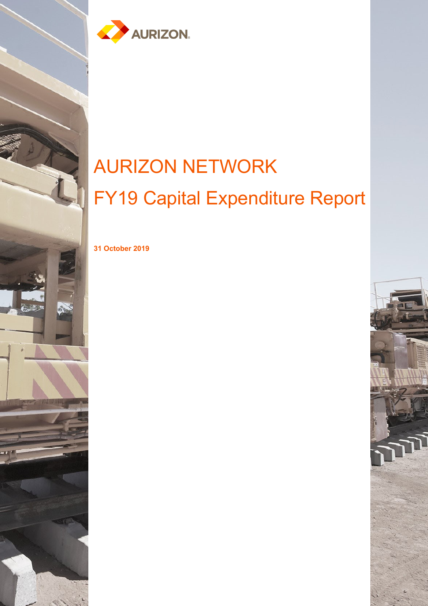

# AURIZON NETWORK FY19 Capital Expenditure Report

**31 October 2019**

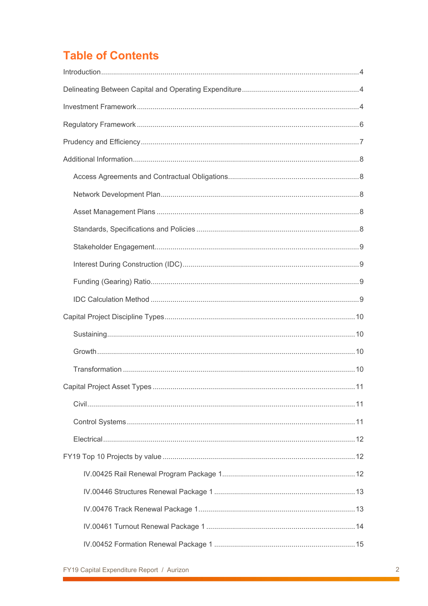# **Table of Contents**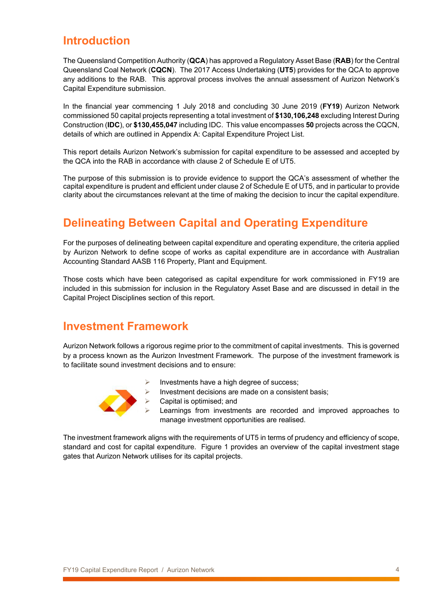### <span id="page-3-0"></span>**Introduction**

The Queensland Competition Authority (**QCA**) has approved a Regulatory Asset Base (**RAB**) for the Central Queensland Coal Network (**CQCN**). The 2017 Access Undertaking (**UT5**) provides for the QCA to approve any additions to the RAB. This approval process involves the annual assessment of Aurizon Network's Capital Expenditure submission.

In the financial year commencing 1 July 2018 and concluding 30 June 2019 (**FY19**) Aurizon Network commissioned 50 capital projects representing a total investment of **\$130,106,248** excluding Interest During Construction (**IDC**), or **\$130,455,047** including IDC. This value encompasses **50** projects across the CQCN, details of which are outlined in [Appendix A: Capital Expenditure Project List.](#page-20-0)

This report details Aurizon Network's submission for capital expenditure to be assessed and accepted by the QCA into the RAB in accordance with clause 2 of Schedule E of UT5.

The purpose of this submission is to provide evidence to support the QCA's assessment of whether the capital expenditure is prudent and efficient under clause 2 of Schedule E of UT5, and in particular to provide clarity about the circumstances relevant at the time of making the decision to incur the capital expenditure.

# <span id="page-3-1"></span>**Delineating Between Capital and Operating Expenditure**

For the purposes of delineating between capital expenditure and operating expenditure, the criteria applied by Aurizon Network to define scope of works as capital expenditure are in accordance with Australian Accounting Standard AASB 116 Property, Plant and Equipment.

Those costs which have been categorised as capital expenditure for work commissioned in FY19 are included in this submission for inclusion in the Regulatory Asset Base and are discussed in detail in the Capital Project Disciplines section of this report.

### <span id="page-3-2"></span>**Investment Framework**

Aurizon Network follows a rigorous regime prior to the commitment of capital investments. This is governed by a process known as the Aurizon Investment Framework. The purpose of the investment framework is to facilitate sound investment decisions and to ensure:



- Investment decisions are made on a consistent basis;
- Capital is optimised; and
	- Learnings from investments are recorded and improved approaches to manage investment opportunities are realised.

The investment framework aligns with the requirements of UT5 in terms of prudency and efficiency of scope, standard and cost for capital expenditure. Figure 1 provides an overview of the capital investment stage gates that Aurizon Network utilises for its capital projects.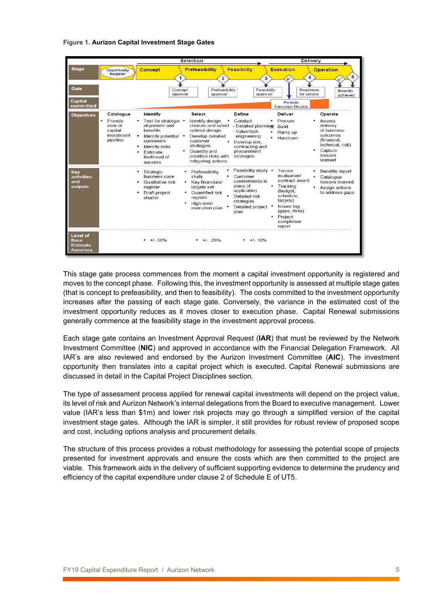#### **Figure 1. Aurizon Capital Investment Stage Gates**

|                                          |                                                                           |                                                                                                                                                                                   | Selection                                                                                                                                                                                                                                                                                                                      | <b>Delivery</b>                                                                                                                                                                                                                                                         |
|------------------------------------------|---------------------------------------------------------------------------|-----------------------------------------------------------------------------------------------------------------------------------------------------------------------------------|--------------------------------------------------------------------------------------------------------------------------------------------------------------------------------------------------------------------------------------------------------------------------------------------------------------------------------|-------------------------------------------------------------------------------------------------------------------------------------------------------------------------------------------------------------------------------------------------------------------------|
| <b>Stage</b><br>Gate                     | Opportunity<br>Register                                                   | Concept<br>Concept                                                                                                                                                                | <b>Feasibility</b><br>Prefeasibility<br>$\overline{2}$<br>3<br>Prefeasibility<br>Feasibility                                                                                                                                                                                                                                   | <b>Execution</b><br><b>Operation</b><br>5<br>4<br>$n^*$<br>Readiness                                                                                                                                                                                                    |
| <b>Capital</b><br>committed              |                                                                           | approval                                                                                                                                                                          | approval<br>approval                                                                                                                                                                                                                                                                                                           | <b>Benefits</b><br>for service<br>achieved<br>Periodic<br><b>Execution Review</b>                                                                                                                                                                                       |
| <b>Objectives</b>                        | Catalogue<br>٠<br>Provide<br>view of<br>capital<br>investment<br>pipeline | Identify<br>• Test for strategic •<br>alignment and<br><b>benefits</b><br>٠<br>Identify potential •<br>customers<br>Identify risks<br>Estimate<br>likelihood of<br><b>SUCCeSS</b> | <b>Select</b><br>Define<br>Identify design<br>Conduct<br>choices and select - Detailed planning<br>optimal design<br>- Value/tech<br>Develop detailed<br>engineering<br>customer<br>Develop risk,<br>strategies<br>contracting and<br>Quantify and<br>procurement<br>prioritise risks with<br>strategies<br>mitigating actions | <b>Deliver</b><br>Operate<br>Procure<br>Assess<br>delivery<br>Build<br>of business<br>Ramp up<br>outcomes<br>Handover<br>(financial,<br>technical, risk)<br>Capture<br>lessons<br>learned                                                                               |
| Key<br>activities<br>and<br>outputs      |                                                                           | Strategic<br>business case<br>Qualitative risk<br>register<br>Draft project<br>charter                                                                                            | Feasibility study •<br>• Prefeasibility<br>Customer<br>study<br>commitments in<br>Key financials/<br>place (if<br>targets set<br>applicable)<br>Quantified risk<br>Detailed risk<br>register<br>strategies<br>High-level<br>Detailed project<br>execution plan<br>plan                                                         | Tender<br><b>Benefits report</b><br>evaluation/<br>Catalogue<br>٠<br>contract award<br>lessons learned<br>• Tracking<br>Assign actions<br>(budget,<br>to address gaps<br>schedule,<br>targets)<br><b>Issues</b> log<br>(gaps, risks)<br>Project<br>completion<br>report |
| Level of<br>Base<br>Estimate<br>Accuracv |                                                                           | $+/- 50%$                                                                                                                                                                         | $+/- 25%$<br>$+/- 10\%$                                                                                                                                                                                                                                                                                                        |                                                                                                                                                                                                                                                                         |

This stage gate process commences from the moment a capital investment opportunity is registered and moves to the concept phase. Following this, the investment opportunity is assessed at multiple stage gates (that is concept to prefeasibility, and then to feasibility). The costs committed to the investment opportunity increases after the passing of each stage gate. Conversely, the variance in the estimated cost of the investment opportunity reduces as it moves closer to execution phase. Capital Renewal submissions generally commence at the feasibility stage in the investment approval process.

Each stage gate contains an Investment Approval Request (**IAR**) that must be reviewed by the Network Investment Committee (**NIC**) and approved in accordance with the Financial Delegation Framework. All IAR's are also reviewed and endorsed by the Aurizon Investment Committee (**AIC**). The investment opportunity then translates into a capital project which is executed. Capital Renewal submissions are discussed in detail in the Capital Project Disciplines section.

The type of assessment process applied for renewal capital investments will depend on the project value, its level of risk and Aurizon Network's internal delegations from the Board to executive management. Lower value (IAR's less than \$1m) and lower risk projects may go through a simplified version of the capital investment stage gates. Although the IAR is simpler, it still provides for robust review of proposed scope and cost, including options analysis and procurement details.

The structure of this process provides a robust methodology for assessing the potential scope of projects presented for investment approvals and ensure the costs which are then committed to the project are viable. This framework aids in the delivery of sufficient supporting evidence to determine the prudency and efficiency of the capital expenditure under clause 2 of Schedule E of UT5.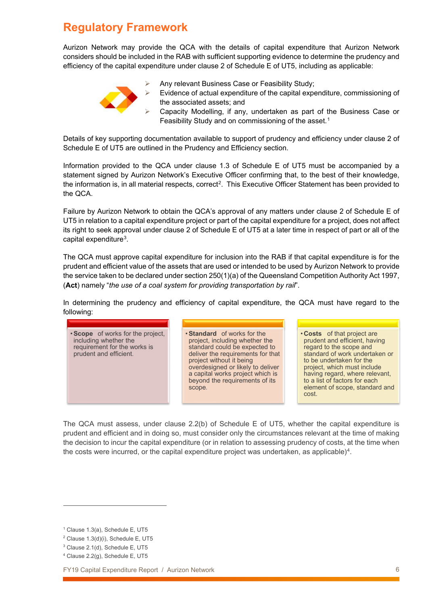# <span id="page-5-0"></span>**Regulatory Framework**

Aurizon Network may provide the QCA with the details of capital expenditure that Aurizon Network considers should be included in the RAB with sufficient supporting evidence to determine the prudency and efficiency of the capital expenditure under clause 2 of Schedule E of UT5, including as applicable:



- Any relevant Business Case or Feasibility Study;
- Evidence of actual expenditure of the capital expenditure, commissioning of the associated assets; and
- Capacity Modelling, if any, undertaken as part of the Business Case or Feasibility Study and on commissioning of the asset.<sup>[1](#page-5-1)</sup>

Details of key supporting documentation available to support of prudency and efficiency under clause 2 of Schedule E of UT5 are outlined in the [Prudency and Efficiency](#page-6-0) section.

Information provided to the QCA under clause 1.3 of Schedule E of UT5 must be accompanied by a statement signed by Aurizon Network's Executive Officer confirming that, to the best of their knowledge, the information is, in all material respects, correct<sup>2</sup>. This Executive Officer Statement has been provided to the QCA.

Failure by Aurizon Network to obtain the QCA's approval of any matters under clause 2 of Schedule E of UT5 in relation to a capital expenditure project or part of the capital expenditure for a project, does not affect its right to seek approval under clause 2 of Schedule E of UT5 at a later time in respect of part or all of the capital expenditure[3.](#page-5-3)

The QCA must approve capital expenditure for inclusion into the RAB if that capital expenditure is for the prudent and efficient value of the assets that are used or intended to be used by Aurizon Network to provide the service taken to be declared under section 250(1)(a) of the Queensland Competition Authority Act 1997, (**Act**) namely "*the use of a coal system for providing transportation by rail*".

In determining the prudency and efficiency of capital expenditure, the QCA must have regard to the following:



The QCA must assess, under clause 2.2(b) of Schedule E of UT5, whether the capital expenditure is prudent and efficient and in doing so, must consider only the circumstances relevant at the time of making the decision to incur the capital expenditure (or in relation to assessing prudency of costs, at the time when the costs were incurred, or the capital expenditure project was undertaken, as applicable)<sup>4</sup>.

 $\overline{a}$ 

FY19 Capital Expenditure Report / Aurizon Network 6

<span id="page-5-1"></span> $<sup>1</sup>$  Clause 1.3(a), Schedule E, UT5</sup>

<span id="page-5-2"></span><sup>2</sup> Clause 1.3(d)(i), Schedule E, UT5

<span id="page-5-3"></span><sup>3</sup> Clause 2.1(d), Schedule E, UT5

<span id="page-5-4"></span><sup>4</sup> Clause 2.2(g), Schedule E, UT5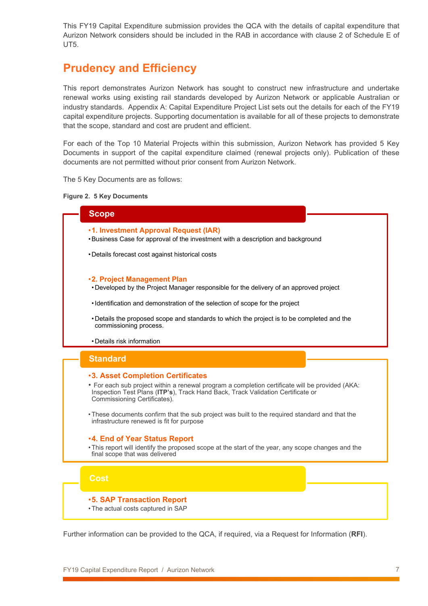This FY19 Capital Expenditure submission provides the QCA with the details of capital expenditure that Aurizon Network considers should be included in the RAB in accordance with clause 2 of Schedule E of UT5.

### <span id="page-6-0"></span>**Prudency and Efficiency**

This report demonstrates Aurizon Network has sought to construct new infrastructure and undertake renewal works using existing rail standards developed by Aurizon Network or applicable Australian or industry standards. [Appendix A: Capital Expenditure Project List](#page-20-0) sets out the details for each of the FY19 capital expenditure projects. Supporting documentation is available for all of these projects to demonstrate that the scope, standard and cost are prudent and efficient.

For each of the Top 10 Material Projects within this submission, Aurizon Network has provided 5 Key Documents in support of the capital expenditure claimed (renewal projects only). Publication of these documents are not permitted without prior consent from Aurizon Network.

The 5 Key Documents are as follows:

#### **Figure 2. 5 Key Documents**



Further information can be provided to the QCA, if required, via a Request for Information (**RFI**).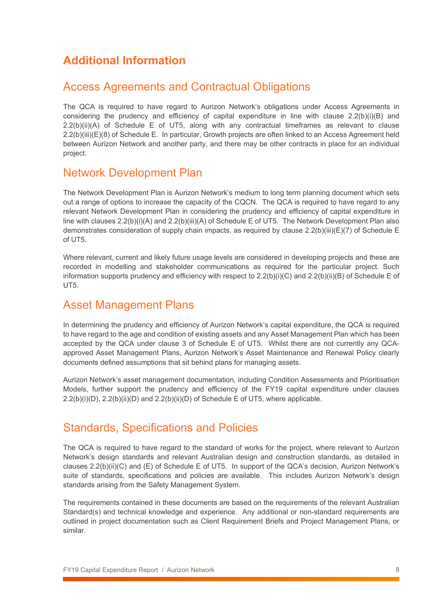## <span id="page-7-0"></span>**Additional Information**

### <span id="page-7-1"></span>Access Agreements and Contractual Obligations

The QCA is required to have regard to Aurizon Network's obligations under Access Agreements in considering the prudency and efficiency of capital expenditure in line with clause 2.2(b)(i)(B) and 2.2(b)(ii)(A) of Schedule E of UT5, along with any contractual timeframes as relevant to clause 2.2(b)(iii)(E)(8) of Schedule E. In particular, Growth projects are often linked to an Access Agreement held between Aurizon Network and another party, and there may be other contracts in place for an individual project.

### <span id="page-7-2"></span>Network Development Plan

The Network Development Plan is Aurizon Network's medium to long term planning document which sets out a range of options to increase the capacity of the CQCN. The QCA is required to have regard to any relevant Network Development Plan in considering the prudency and efficiency of capital expenditure in line with clauses 2.2(b)(i)(A) and 2.2(b)(iii)(A) of Schedule E of UT5. The Network Development Plan also demonstrates consideration of supply chain impacts, as required by clause 2.2(b)(iii)(E)(7) of Schedule E of UT5.

Where relevant, current and likely future usage levels are considered in developing projects and these are recorded in modelling and stakeholder communications as required for the particular project. Such information supports prudency and efficiency with respect to 2.2(b)(i)(C) and 2.2(b)(ii)(B) of Schedule E of UT5.

### <span id="page-7-3"></span>Asset Management Plans

In determining the prudency and efficiency of Aurizon Network's capital expenditure, the QCA is required to have regard to the age and condition of existing assets and any Asset Management Plan which has been accepted by the QCA under clause 3 of Schedule E of UT5. Whilst there are not currently any QCAapproved Asset Management Plans, Aurizon Network's Asset Maintenance and Renewal Policy clearly documents defined assumptions that sit behind plans for managing assets.

Aurizon Network's asset management documentation, including Condition Assessments and Prioritisation Models, further support the prudency and efficiency of the FY19 capital expenditure under clauses 2.2(b)(i)(D), 2.2(b)(ii)(D) and 2.2(b)(ii)(D) of Schedule E of UT5, where applicable.

### <span id="page-7-4"></span>Standards, Specifications and Policies

The QCA is required to have regard to the standard of works for the project, where relevant to Aurizon Network's design standards and relevant Australian design and construction standards, as detailed in clauses 2.2(b)(ii)(C) and (E) of Schedule E of UT5. In support of the QCA's decision, Aurizon Network's suite of standards, specifications and policies are available. This includes Aurizon Network's design standards arising from the Safety Management System.

The requirements contained in these documents are based on the requirements of the relevant Australian Standard(s) and technical knowledge and experience. Any additional or non-standard requirements are outlined in project documentation such as Client Requirement Briefs and Project Management Plans, or similar.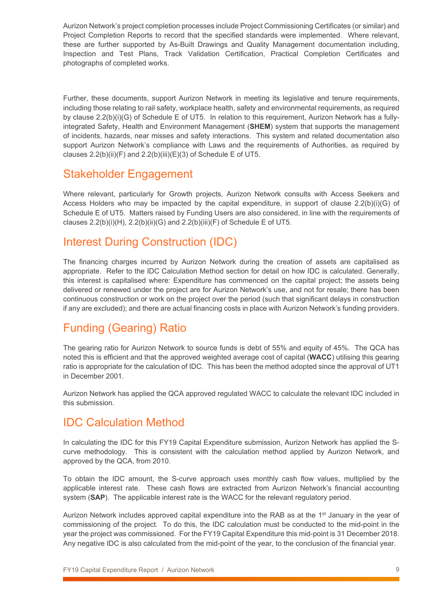Aurizon Network's project completion processes include Project Commissioning Certificates (or similar) and Project Completion Reports to record that the specified standards were implemented. Where relevant, these are further supported by As-Built Drawings and Quality Management documentation including, Inspection and Test Plans, Track Validation Certification, Practical Completion Certificates and photographs of completed works.

Further, these documents, support Aurizon Network in meeting its legislative and tenure requirements, including those relating to rail safety, workplace health, safety and environmental requirements, as required by clause 2.2(b)(i)(G) of Schedule E of UT5. In relation to this requirement, Aurizon Network has a fullyintegrated Safety, Health and Environment Management (**SHEM**) system that supports the management of incidents, hazards, near misses and safety interactions. This system and related documentation also support Aurizon Network's compliance with Laws and the requirements of Authorities, as required by clauses 2.2(b)(ii)(F) and 2.2(b)(iii)(E)(3) of Schedule E of UT5.

### <span id="page-8-0"></span>Stakeholder Engagement

Where relevant, particularly for Growth projects, Aurizon Network consults with Access Seekers and Access Holders who may be impacted by the capital expenditure, in support of clause 2.2(b)(i)(G) of Schedule E of UT5. Matters raised by Funding Users are also considered, in line with the requirements of clauses  $2.2(b)(i)(H)$ ,  $2.2(b)(ii)(G)$  and  $2.2(b)(iii)(F)$  of Schedule E of UT5.

### <span id="page-8-1"></span>Interest During Construction (IDC)

The financing charges incurred by Aurizon Network during the creation of assets are capitalised as appropriate. Refer to the IDC Calculation Method section for detail on how IDC is calculated. Generally, this interest is capitalised where: Expenditure has commenced on the capital project; the assets being delivered or renewed under the project are for Aurizon Network's use, and not for resale; there has been continuous construction or work on the project over the period (such that significant delays in construction if any are excluded); and there are actual financing costs in place with Aurizon Network's funding providers.

# <span id="page-8-2"></span>Funding (Gearing) Ratio

The gearing ratio for Aurizon Network to source funds is debt of 55% and equity of 45%. The QCA has noted this is efficient and that the approved weighted average cost of capital (**WACC**) utilising this gearing ratio is appropriate for the calculation of IDC. This has been the method adopted since the approval of UT1 in December 2001.

Aurizon Network has applied the QCA approved regulated WACC to calculate the relevant IDC included in this submission.

### <span id="page-8-3"></span>IDC Calculation Method

In calculating the IDC for this FY19 Capital Expenditure submission, Aurizon Network has applied the Scurve methodology. This is consistent with the calculation method applied by Aurizon Network, and approved by the QCA, from 2010.

To obtain the IDC amount, the S-curve approach uses monthly cash flow values, multiplied by the applicable interest rate. These cash flows are extracted from Aurizon Network's financial accounting system (**SAP**). The applicable interest rate is the WACC for the relevant regulatory period.

Aurizon Network includes approved capital expenditure into the RAB as at the 1<sup>st</sup> January in the year of commissioning of the project. To do this, the IDC calculation must be conducted to the mid-point in the year the project was commissioned. For the FY19 Capital Expenditure this mid-point is 31 December 2018. Any negative IDC is also calculated from the mid-point of the year, to the conclusion of the financial year.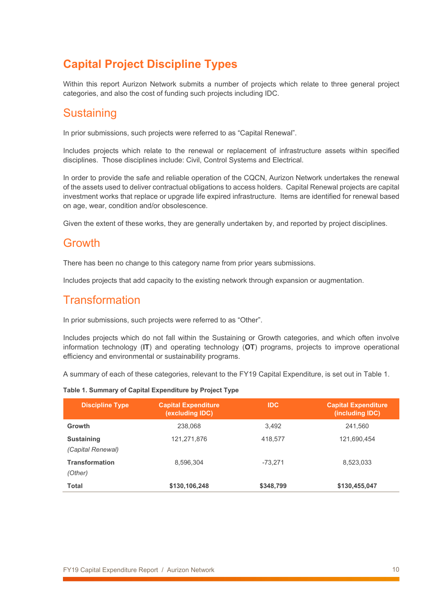# <span id="page-9-0"></span>**Capital Project Discipline Types**

Within this report Aurizon Network submits a number of projects which relate to three general project categories, and also the cost of funding such projects including IDC.

### <span id="page-9-1"></span>**Sustaining**

In prior submissions, such projects were referred to as "Capital Renewal".

Includes projects which relate to the renewal or replacement of infrastructure assets within specified disciplines. Those disciplines include: Civil, Control Systems and Electrical.

In order to provide the safe and reliable operation of the CQCN, Aurizon Network undertakes the renewal of the assets used to deliver contractual obligations to access holders. Capital Renewal projects are capital investment works that replace or upgrade life expired infrastructure. Items are identified for renewal based on age, wear, condition and/or obsolescence.

Given the extent of these works, they are generally undertaken by, and reported by project disciplines.

#### <span id="page-9-2"></span>Growth

There has been no change to this category name from prior years submissions.

Includes projects that add capacity to the existing network through expansion or augmentation.

### <span id="page-9-3"></span>**Transformation**

In prior submissions, such projects were referred to as "Other".

Includes projects which do not fall within the Sustaining or Growth categories, and which often involve information technology (**IT**) and operating technology (**OT**) programs, projects to improve operational efficiency and environmental or sustainability programs.

A summary of each of these categories, relevant to the FY19 Capital Expenditure, is set out in Table 1.

| <b>Discipline Type</b>                 | <b>Capital Expenditure</b><br>(excluding IDC) | <b>IDC</b> | <b>Capital Expenditure</b><br>(including IDC) |
|----------------------------------------|-----------------------------------------------|------------|-----------------------------------------------|
| Growth                                 | 238,068                                       | 3.492      | 241,560                                       |
| <b>Sustaining</b><br>(Capital Renewal) | 121,271,876                                   | 418.577    | 121,690,454                                   |
| <b>Transformation</b><br>(Other)       | 8.596.304                                     | -73.271    | 8,523,033                                     |
| Total                                  | \$130,106,248                                 | \$348.799  | \$130,455,047                                 |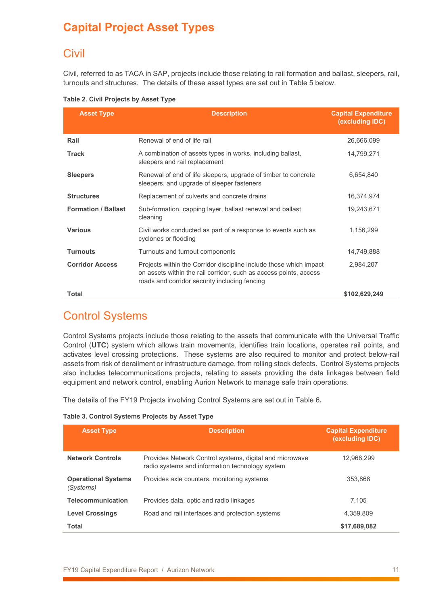# <span id="page-10-0"></span>**Capital Project Asset Types**

### <span id="page-10-1"></span>**Civil**

Civil, referred to as TACA in SAP, projects include those relating to rail formation and ballast, sleepers, rail, turnouts and structures. The details of these asset types are set out in [Table 5](#page-10-3) below.

<span id="page-10-3"></span>

|  |  |  | Table 2. Civil Projects by Asset Type |  |  |  |
|--|--|--|---------------------------------------|--|--|--|
|--|--|--|---------------------------------------|--|--|--|

| <b>Asset Type</b>          | <b>Description</b>                                                                                                                                                                       | <b>Capital Expenditure</b><br>(excluding IDC) |
|----------------------------|------------------------------------------------------------------------------------------------------------------------------------------------------------------------------------------|-----------------------------------------------|
| Rail                       | Renewal of end of life rail                                                                                                                                                              | 26,666,099                                    |
| <b>Track</b>               | A combination of assets types in works, including ballast,<br>sleepers and rail replacement                                                                                              | 14,799,271                                    |
| <b>Sleepers</b>            | Renewal of end of life sleepers, upgrade of timber to concrete<br>sleepers, and upgrade of sleeper fasteners                                                                             | 6.654.840                                     |
| <b>Structures</b>          | Replacement of culverts and concrete drains                                                                                                                                              | 16,374,974                                    |
| <b>Formation / Ballast</b> | Sub-formation, capping layer, ballast renewal and ballast<br>cleaning                                                                                                                    | 19,243,671                                    |
| <b>Various</b>             | Civil works conducted as part of a response to events such as<br>cyclones or flooding                                                                                                    | 1,156,299                                     |
| <b>Turnouts</b>            | Turnouts and turnout components                                                                                                                                                          | 14,749,888                                    |
| <b>Corridor Access</b>     | Projects within the Corridor discipline include those which impact<br>on assets within the rail corridor, such as access points, access<br>roads and corridor security including fencing | 2,984,207                                     |
| Total                      |                                                                                                                                                                                          | \$102,629,249                                 |

### <span id="page-10-2"></span>Control Systems

Control Systems projects include those relating to the assets that communicate with the Universal Traffic Control (**UTC**) system which allows train movements, identifies train locations, operates rail points, and activates level crossing protections. These systems are also required to monitor and protect below-rail assets from risk of derailment or infrastructure damage, from rolling stock defects. Control Systems projects also includes telecommunications projects, relating to assets providing the data linkages between field equipment and network control, enabling Aurion Network to manage safe train operations.

The details of the FY19 Projects involving Control Systems are set out in [Table 6](#page-10-4)**.**

<span id="page-10-4"></span>

| <b>Asset Type</b>                       | <b>Description</b>                                                                                         | <b>Capital Expenditure</b><br>(excluding IDC) |
|-----------------------------------------|------------------------------------------------------------------------------------------------------------|-----------------------------------------------|
| <b>Network Controls</b>                 | Provides Network Control systems, digital and microwave<br>radio systems and information technology system | 12.968.299                                    |
| <b>Operational Systems</b><br>(Systems) | Provides axle counters, monitoring systems                                                                 | 353.868                                       |
| <b>Telecommunication</b>                | Provides data, optic and radio linkages                                                                    | 7.105                                         |
| <b>Level Crossings</b>                  | Road and rail interfaces and protection systems                                                            | 4.359.809                                     |
| Total                                   |                                                                                                            | \$17,689,082                                  |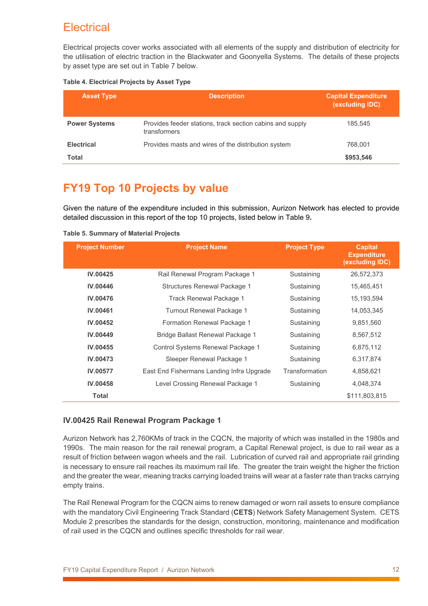### <span id="page-11-0"></span>**Electrical**

Electrical projects cover works associated with all elements of the supply and distribution of electricity for the utilisation of electric traction in the Blackwater and Goonyella Systems. The details of these projects by asset type are set out in [Table 7](#page-11-3) below.

#### <span id="page-11-3"></span>**Table 4. Electrical Projects by Asset Type**

| <b>Asset Type</b>    | <b>Description</b>                                                        | <b>Capital Expenditure</b><br>(excluding IDC) |
|----------------------|---------------------------------------------------------------------------|-----------------------------------------------|
| <b>Power Systems</b> | Provides feeder stations, track section cabins and supply<br>transformers | 185.545                                       |
| <b>Electrical</b>    | Provides masts and wires of the distribution system                       | 768.001                                       |
| Total                |                                                                           | \$953.546                                     |

### <span id="page-11-1"></span>**FY19 Top 10 Projects by value**

Given the nature of the expenditure included in this submission, Aurizon Network has elected to provide detailed discussion in this report of the top 10 projects, listed below in [Table 9](#page-11-4)**.**

| <b>Project Number</b> | <b>Project Name</b>                       | <b>Project Type</b> | <b>Capital</b><br><b>Expenditure</b><br>(excluding IDC) |
|-----------------------|-------------------------------------------|---------------------|---------------------------------------------------------|
| <b>IV.00425</b>       | Rail Renewal Program Package 1            | Sustaining          | 26,572,373                                              |
| <b>IV.00446</b>       | Structures Renewal Package 1              | Sustaining          | 15.465.451                                              |
| IV.00476              | Track Renewal Package 1                   | Sustaining          | 15.193.594                                              |
| <b>IV.00461</b>       | Turnout Renewal Package 1                 | Sustaining          | 14.053.345                                              |
| IV.00452              | Formation Renewal Package 1               | Sustaining          | 9,851,560                                               |
| <b>IV.00449</b>       | Bridge Ballast Renewal Package 1          | Sustaining          | 8,567,512                                               |
| IV.00455              | Control Systems Renewal Package 1         | Sustaining          | 6,875,112                                               |
| <b>IV.00473</b>       | Sleeper Renewal Package 1                 | Sustaining          | 6,317,874                                               |
| IV.00577              | East End Fishermans Landing Infra Upgrade | Transformation      | 4,858,621                                               |
| IV.00458              | Level Crossing Renewal Package 1          | Sustaining          | 4.048.374                                               |
| Total                 |                                           |                     | \$111,803,815                                           |

<span id="page-11-4"></span>**Table 5. Summary of Material Projects**

#### <span id="page-11-2"></span>**IV.00425 Rail Renewal Program Package 1**

Aurizon Network has 2,760KMs of track in the CQCN, the majority of which was installed in the 1980s and 1990s. The main reason for the rail renewal program, a Capital Renewal project, is due to rail wear as a result of friction between wagon wheels and the rail. Lubrication of curved rail and appropriate rail grinding is necessary to ensure rail reaches its maximum rail life. The greater the train weight the higher the friction and the greater the wear, meaning tracks carrying loaded trains will wear at a faster rate than tracks carrying empty trains.

The Rail Renewal Program for the CQCN aims to renew damaged or worn rail assets to ensure compliance with the mandatory Civil Engineering Track Standard (**CETS**) Network Safety Management System. CETS Module 2 prescribes the standards for the design, construction, monitoring, maintenance and modification of rail used in the CQCN and outlines specific thresholds for rail wear.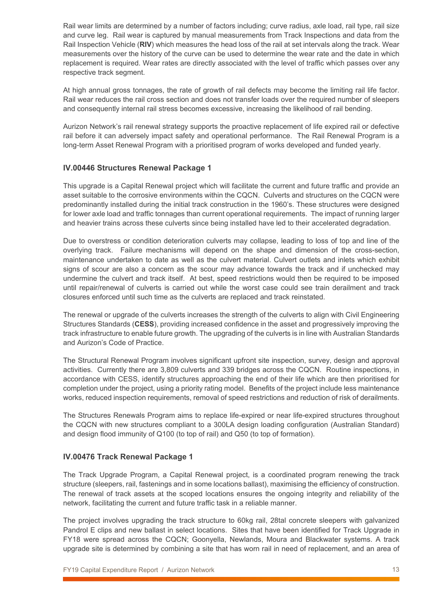Rail wear limits are determined by a number of factors including; curve radius, axle load, rail type, rail size and curve leg. Rail wear is captured by manual measurements from Track Inspections and data from the Rail Inspection Vehicle (**RIV**) which measures the head loss of the rail at set intervals along the track. Wear measurements over the history of the curve can be used to determine the wear rate and the date in which replacement is required. Wear rates are directly associated with the level of traffic which passes over any respective track segment.

At high annual gross tonnages, the rate of growth of rail defects may become the limiting rail life factor. Rail wear reduces the rail cross section and does not transfer loads over the required number of sleepers and consequently internal rail stress becomes excessive, increasing the likelihood of rail bending.

Aurizon Network's rail renewal strategy supports the proactive replacement of life expired rail or defective rail before it can adversely impact safety and operational performance. The Rail Renewal Program is a long-term Asset Renewal Program with a prioritised program of works developed and funded yearly.

#### <span id="page-12-0"></span>**IV.00446 Structures Renewal Package 1**

This upgrade is a Capital Renewal project which will facilitate the current and future traffic and provide an asset suitable to the corrosive environments within the CQCN. Culverts and structures on the CQCN were predominantly installed during the initial track construction in the 1960's. These structures were designed for lower axle load and traffic tonnages than current operational requirements. The impact of running larger and heavier trains across these culverts since being installed have led to their accelerated degradation.

Due to overstress or condition deterioration culverts may collapse, leading to loss of top and line of the overlying track. Failure mechanisms will depend on the shape and dimension of the cross-section, maintenance undertaken to date as well as the culvert material. Culvert outlets and inlets which exhibit signs of scour are also a concern as the scour may advance towards the track and if unchecked may undermine the culvert and track itself. At best, speed restrictions would then be required to be imposed until repair/renewal of culverts is carried out while the worst case could see train derailment and track closures enforced until such time as the culverts are replaced and track reinstated.

The renewal or upgrade of the culverts increases the strength of the culverts to align with Civil Engineering Structures Standards (**CESS**), providing increased confidence in the asset and progressively improving the track infrastructure to enable future growth. The upgrading of the culverts is in line with Australian Standards and Aurizon's Code of Practice.

The Structural Renewal Program involves significant upfront site inspection, survey, design and approval activities. Currently there are 3,809 culverts and 339 bridges across the CQCN. Routine inspections, in accordance with CESS, identify structures approaching the end of their life which are then prioritised for completion under the project, using a priority rating model. Benefits of the project include less maintenance works, reduced inspection requirements, removal of speed restrictions and reduction of risk of derailments.

The Structures Renewals Program aims to replace life-expired or near life-expired structures throughout the CQCN with new structures compliant to a 300LA design loading configuration (Australian Standard) and design flood immunity of Q100 (to top of rail) and Q50 (to top of formation).

#### <span id="page-12-1"></span>**IV.00476 Track Renewal Package 1**

The Track Upgrade Program, a Capital Renewal project, is a coordinated program renewing the track structure (sleepers, rail, fastenings and in some locations ballast), maximising the efficiency of construction. The renewal of track assets at the scoped locations ensures the ongoing integrity and reliability of the network, facilitating the current and future traffic task in a reliable manner.

The project involves upgrading the track structure to 60kg rail, 28tal concrete sleepers with galvanized Pandrol E clips and new ballast in select locations. Sites that have been identified for Track Upgrade in FY18 were spread across the CQCN; Goonyella, Newlands, Moura and Blackwater systems. A track upgrade site is determined by combining a site that has worn rail in need of replacement, and an area of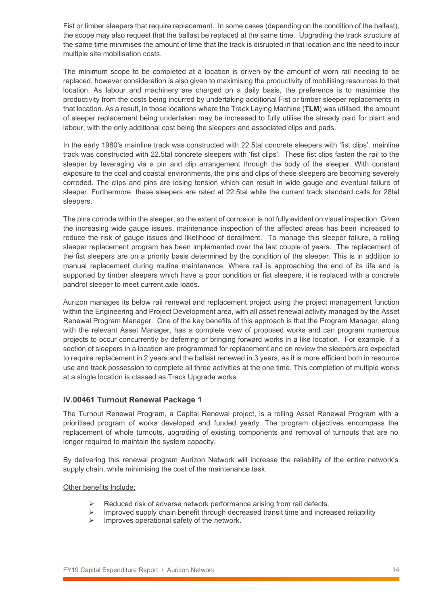Fist or timber sleepers that require replacement. In some cases (depending on the condition of the ballast), the scope may also request that the ballast be replaced at the same time. Upgrading the track structure at the same time minimises the amount of time that the track is disrupted in that location and the need to incur multiple site mobilisation costs.

The minimum scope to be completed at a location is driven by the amount of worn rail needing to be replaced, however consideration is also given to maximising the productivity of mobilising resources to that location. As labour and machinery are charged on a daily basis, the preference is to maximise the productivity from the costs being incurred by undertaking additional Fist or timber sleeper replacements in that location. As a result, in those locations where the Track Laying Machine (**TLM**) was utilised, the amount of sleeper replacement being undertaken may be increased to fully utilise the already paid for plant and labour, with the only additional cost being the sleepers and associated clips and pads.

In the early 1980's mainline track was constructed with 22.5tal concrete sleepers with 'fist clips'. mainline track was constructed with 22.5tal concrete sleepers with 'fist clips'. These fist clips fasten the rail to the sleeper by leveraging via a pin and clip arrangement through the body of the sleeper. With constant exposure to the coal and coastal environments, the pins and clips of these sleepers are becoming severely corroded. The clips and pins are losing tension which can result in wide gauge and eventual failure of sleeper. Furthermore, these sleepers are rated at 22.5tal while the current track standard calls for 28tal sleepers.

The pins corrode within the sleeper, so the extent of corrosion is not fully evident on visual inspection. Given the increasing wide gauge issues, maintenance inspection of the affected areas has been increased to reduce the risk of gauge issues and likelihood of derailment. To manage this sleeper failure, a rolling sleeper replacement program has been implemented over the last couple of years. The replacement of the fist sleepers are on a priority basis determined by the condition of the sleeper. This is in addition to manual replacement during routine maintenance. Where rail is approaching the end of its life and is supported by timber sleepers which have a poor condition or fist sleepers, it is replaced with a concrete pandrol sleeper to meet current axle loads.

Aurizon manages its below rail renewal and replacement project using the project management function within the Engineering and Project Development area, with all asset renewal activity managed by the Asset Renewal Program Manager. One of the key benefits of this approach is that the Program Manager, along with the relevant Asset Manager, has a complete view of proposed works and can program numerous projects to occur concurrently by deferring or bringing forward works in a like location. For example, if a section of sleepers in a location are programmed for replacement and on review the sleepers are expected to require replacement in 2 years and the ballast renewed in 3 years, as it is more efficient both in resource use and track possession to complete all three activities at the one time. This completion of multiple works at a single location is classed as Track Upgrade works.

#### <span id="page-13-0"></span>**IV.00461 Turnout Renewal Package 1**

The Turnout Renewal Program, a Capital Renewal project, is a rolling Asset Renewal Program with a prioritised program of works developed and funded yearly. The program objectives encompass the replacement of whole turnouts, upgrading of existing components and removal of turnouts that are no longer required to maintain the system capacity.

By delivering this renewal program Aurizon Network will increase the reliability of the entire network's supply chain, while minimising the cost of the maintenance task.

#### Other benefits Include:

- Reduced risk of adverse network performance arising from rail defects.
- Improved supply chain benefit through decreased transit time and increased reliability<br>
Improves operational safety of the network
- Improves operational safety of the network.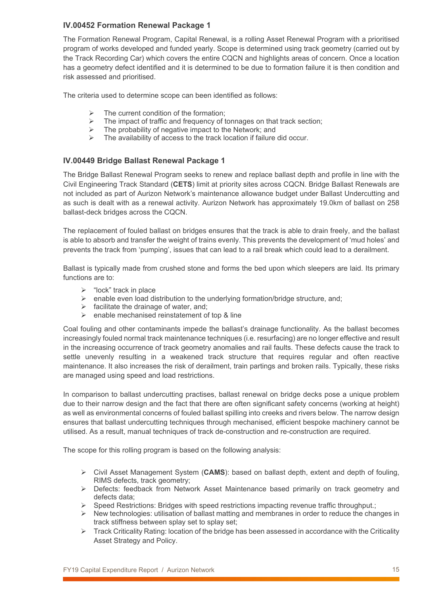#### <span id="page-14-0"></span>**IV.00452 Formation Renewal Package 1**

The Formation Renewal Program, Capital Renewal, is a rolling Asset Renewal Program with a prioritised program of works developed and funded yearly. Scope is determined using track geometry (carried out by the Track Recording Car) which covers the entire CQCN and highlights areas of concern. Once a location has a geometry defect identified and it is determined to be due to formation failure it is then condition and risk assessed and prioritised.

The criteria used to determine scope can been identified as follows:

- The current condition of the formation;
- $\triangleright$  The impact of traffic and frequency of tonnages on that track section;<br> $\triangleright$  The probability of negative impact to the Network: and
- $\triangleright$  The probability of negative impact to the Network; and  $\triangleright$  The availability of access to the track location if failure
- The availability of access to the track location if failure did occur.

#### <span id="page-14-1"></span>**IV.00449 Bridge Ballast Renewal Package 1**

The Bridge Ballast Renewal Program seeks to renew and replace ballast depth and profile in line with the Civil Engineering Track Standard (**CETS**) limit at priority sites across CQCN. Bridge Ballast Renewals are not included as part of Aurizon Network's maintenance allowance budget under Ballast Undercutting and as such is dealt with as a renewal activity. Aurizon Network has approximately 19.0km of ballast on 258 ballast-deck bridges across the CQCN.

The replacement of fouled ballast on bridges ensures that the track is able to drain freely, and the ballast is able to absorb and transfer the weight of trains evenly. This prevents the development of 'mud holes' and prevents the track from 'pumping', issues that can lead to a rail break which could lead to a derailment.

Ballast is typically made from crushed stone and forms the bed upon which sleepers are laid. Its primary functions are to:

- $\triangleright$  "lock" track in place
- $\triangleright$  enable even load distribution to the underlying formation/bridge structure, and;
- $\triangleright$  facilitate the drainage of water, and;
- $\triangleright$  enable mechanised reinstatement of top & line

Coal fouling and other contaminants impede the ballast's drainage functionality. As the ballast becomes increasingly fouled normal track maintenance techniques (i.e. resurfacing) are no longer effective and result in the increasing occurrence of track geometry anomalies and rail faults. These defects cause the track to settle unevenly resulting in a weakened track structure that requires regular and often reactive maintenance. It also increases the risk of derailment, train partings and broken rails. Typically, these risks are managed using speed and load restrictions.

In comparison to ballast undercutting practises, ballast renewal on bridge decks pose a unique problem due to their narrow design and the fact that there are often significant safety concerns (working at height) as well as environmental concerns of fouled ballast spilling into creeks and rivers below. The narrow design ensures that ballast undercutting techniques through mechanised, efficient bespoke machinery cannot be utilised. As a result, manual techniques of track de-construction and re-construction are required.

The scope for this rolling program is based on the following analysis:

- Civil Asset Management System (**CAMS**): based on ballast depth, extent and depth of fouling, RIMS defects, track geometry;
- $\triangleright$  Defects: feedback from Network Asset Maintenance based primarily on track geometry and defects data;
- $\triangleright$  Speed Restrictions: Bridges with speed restrictions impacting revenue traffic throughput.:
- $\triangleright$  New technologies: utilisation of ballast matting and membranes in order to reduce the changes in track stiffness between splay set to splay set;
- $\triangleright$  Track Criticality Rating: location of the bridge has been assessed in accordance with the Criticality Asset Strategy and Policy.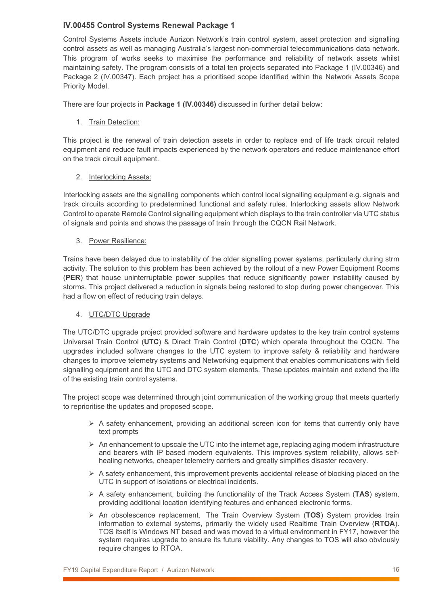#### <span id="page-15-0"></span>**IV.00455 Control Systems Renewal Package 1**

Control Systems Assets include Aurizon Network's train control system, asset protection and signalling control assets as well as managing Australia's largest non-commercial telecommunications data network. This program of works seeks to maximise the performance and reliability of network assets whilst maintaining safety. The program consists of a total ten projects separated into Package 1 (IV.00346) and Package 2 (IV.00347). Each project has a prioritised scope identified within the Network Assets Scope Priority Model.

There are four projects in **Package 1 (IV.00346)** discussed in further detail below:

1. Train Detection:

This project is the renewal of train detection assets in order to replace end of life track circuit related equipment and reduce fault impacts experienced by the network operators and reduce maintenance effort on the track circuit equipment.

2. Interlocking Assets:

Interlocking assets are the signalling components which control local signalling equipment e.g. signals and track circuits according to predetermined functional and safety rules. Interlocking assets allow Network Control to operate Remote Control signalling equipment which displays to the train controller via UTC status of signals and points and shows the passage of train through the CQCN Rail Network.

3. Power Resilience:

Trains have been delayed due to instability of the older signalling power systems, particularly during strm activity. The solution to this problem has been achieved by the rollout of a new Power Equipment Rooms (**PER**) that house uninterruptable power supplies that reduce significantly power instability caused by storms. This project delivered a reduction in signals being restored to stop during power changeover. This had a flow on effect of reducing train delays.

#### 4. UTC/DTC Upgrade

The UTC/DTC upgrade project provided software and hardware updates to the key train control systems Universal Train Control (**UTC**) & Direct Train Control (**DTC**) which operate throughout the CQCN. The upgrades included software changes to the UTC system to improve safety & reliability and hardware changes to improve telemetry systems and Networking equipment that enables communications with field signalling equipment and the UTC and DTC system elements. These updates maintain and extend the life of the existing train control systems.

The project scope was determined through joint communication of the working group that meets quarterly to reprioritise the updates and proposed scope.

- $\triangleright$  A safety enhancement, providing an additional screen icon for items that currently only have text prompts
- $\triangleright$  An enhancement to upscale the UTC into the internet age, replacing aging modem infrastructure and bearers with IP based modern equivalents. This improves system reliability, allows selfhealing networks, cheaper telemetry carriers and greatly simplifies disaster recovery.
- $\triangleright$  A safety enhancement, this improvement prevents accidental release of blocking placed on the UTC in support of isolations or electrical incidents.
- A safety enhancement, building the functionality of the Track Access System (**TAS**) system, providing additional location identifying features and enhanced electronic forms.
- An obsolescence replacement. The Train Overview System (**TOS**) System provides train information to external systems, primarily the widely used Realtime Train Overview (**RTOA**). TOS itself is Windows NT based and was moved to a virtual environment in FY17, however the system requires upgrade to ensure its future viability. Any changes to TOS will also obviously require changes to RTOA.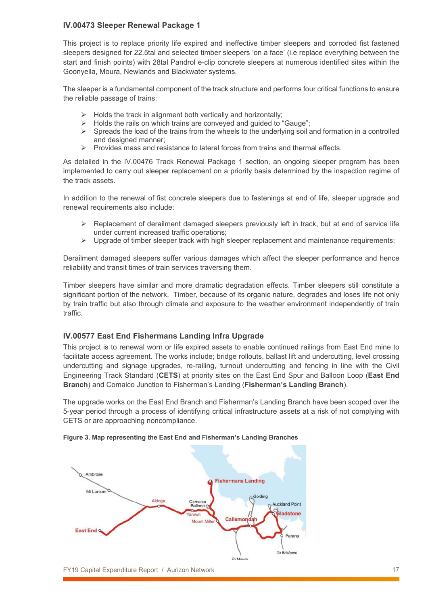#### <span id="page-16-0"></span>**IV.00473 Sleeper Renewal Package 1**

This project is to replace priority life expired and ineffective timber sleepers and corroded fist fastened sleepers designed for 22.5tal and selected timber sleepers 'on a face' (i.e replace everything between the start and finish points) with 28tal Pandrol e-clip concrete sleepers at numerous identified sites within the Goonyella, Moura, Newlands and Blackwater systems.

The sleeper is a fundamental component of the track structure and performs four critical functions to ensure the reliable passage of trains:

- $\triangleright$  Holds the track in alignment both vertically and horizontally;
- $\triangleright$  Holds the rails on which trains are conveved and quided to "Gauge":
- $\triangleright$  Spreads the load of the trains from the wheels to the underlying soil and formation in a controlled and designed manner;
- $\triangleright$  Provides mass and resistance to lateral forces from trains and thermal effects.

As detailed in the IV.00476 Track Renewal Package 1 section, an ongoing sleeper program has been implemented to carry out sleeper replacement on a priority basis determined by the inspection regime of the track assets.

In addition to the renewal of fist concrete sleepers due to fastenings at end of life, sleeper upgrade and renewal requirements also include:

- Replacement of derailment damaged sleepers previously left in track, but at end of service life under current increased traffic operations;
- $\triangleright$  Upgrade of timber sleeper track with high sleeper replacement and maintenance requirements;

Derailment damaged sleepers suffer various damages which affect the sleeper performance and hence reliability and transit times of train services traversing them.

Timber sleepers have similar and more dramatic degradation effects. Timber sleepers still constitute a significant portion of the network. Timber, because of its organic nature, degrades and loses life not only by train traffic but also through climate and exposure to the weather environment independently of train traffic.

#### <span id="page-16-1"></span>**IV.00577 East End Fishermans Landing Infra Upgrade**

This project is to renewal worn or life expired assets to enable continued railings from East End mine to facilitate access agreement. The works include; bridge rollouts, ballast lift and undercutting, level crossing undercutting and signage upgrades, re-railing, turnout undercutting and fencing in line with the Civil Engineering Track Standard (**CETS**) at priority sites on the East End Spur and Balloon Loop (**East End Branch**) and Comalco Junction to Fisherman's Landing (**Fisherman's Landing Branch**).

The upgrade works on the East End Branch and Fisherman's Landing Branch have been scoped over the 5-year period through a process of identifying critical infrastructure assets at a risk of not complying with CETS or are approaching noncompliance.



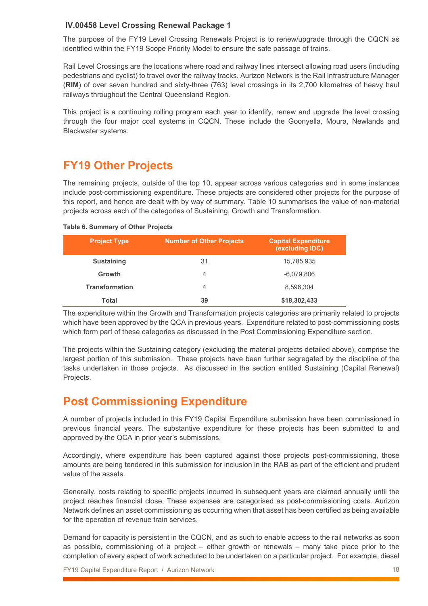#### <span id="page-17-0"></span>**IV.00458 Level Crossing Renewal Package 1**

The purpose of the FY19 Level Crossing Renewals Project is to renew/upgrade through the CQCN as identified within the FY19 Scope Priority Model to ensure the safe passage of trains.

Rail Level Crossings are the locations where road and railway lines intersect allowing road users (including pedestrians and cyclist) to travel over the railway tracks. Aurizon Network is the Rail Infrastructure Manager (**RIM**) of over seven hundred and sixty-three (763) level crossings in its 2,700 kilometres of heavy haul railways throughout the Central Queensland Region.

This project is a continuing rolling program each year to identify, renew and upgrade the level crossing through the four major coal systems in CQCN. These include the Goonyella, Moura, Newlands and Blackwater systems.

# <span id="page-17-1"></span>**FY19 Other Projects**

The remaining projects, outside of the top 10, appear across various categories and in some instances include post-commissioning expenditure. These projects are considered other projects for the purpose of this report, and hence are dealt with by way of summary. Table 10 summarises the value of non-material projects across each of the categories of Sustaining, Growth and Transformation.

#### **Table 6. Summary of Other Projects**

| <b>Project Type</b>   | <b>Number of Other Projects</b> | <b>Capital Expenditure</b><br>(excluding IDC) |
|-----------------------|---------------------------------|-----------------------------------------------|
| <b>Sustaining</b>     |                                 | 15,785,935                                    |
| Growth                |                                 | -6,079,806                                    |
| <b>Transformation</b> |                                 | 8.596.304                                     |
|                       |                                 | \$18,302,433                                  |

The expenditure within the Growth and Transformation projects categories are primarily related to projects which have been approved by the QCA in previous years. Expenditure related to post-commissioning costs which form part of these categories as discussed in the Post Commissioning Expenditure section.

The projects within the Sustaining category (excluding the material projects detailed above), comprise the largest portion of this submission. These projects have been further segregated by the discipline of the tasks undertaken in those projects. As discussed in the section entitled Sustaining (Capital Renewal) Projects.

### <span id="page-17-2"></span>**Post Commissioning Expenditure**

A number of projects included in this FY19 Capital Expenditure submission have been commissioned in previous financial years. The substantive expenditure for these projects has been submitted to and approved by the QCA in prior year's submissions.

Accordingly, where expenditure has been captured against those projects post-commissioning, those amounts are being tendered in this submission for inclusion in the RAB as part of the efficient and prudent value of the assets.

Generally, costs relating to specific projects incurred in subsequent years are claimed annually until the project reaches financial close. These expenses are categorised as post-commissioning costs. Aurizon Network defines an asset commissioning as occurring when that asset has been certified as being available for the operation of revenue train services.

Demand for capacity is persistent in the CQCN, and as such to enable access to the rail networks as soon as possible, commissioning of a project – either growth or renewals – many take place prior to the completion of every aspect of work scheduled to be undertaken on a particular project. For example, diesel

FY19 Capital Expenditure Report / Aurizon Network 18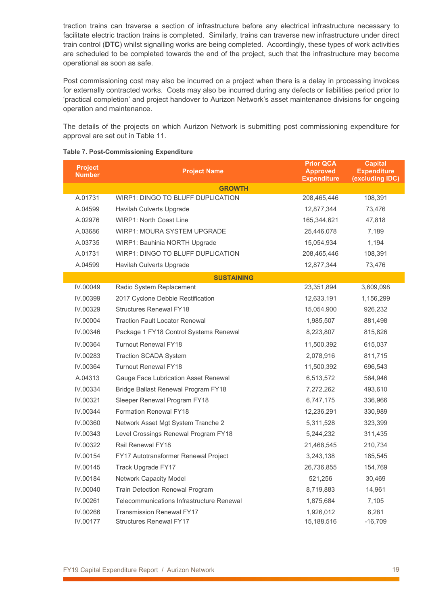traction trains can traverse a section of infrastructure before any electrical infrastructure necessary to facilitate electric traction trains is completed. Similarly, trains can traverse new infrastructure under direct train control (**DTC**) whilst signalling works are being completed. Accordingly, these types of work activities are scheduled to be completed towards the end of the project, such that the infrastructure may become operational as soon as safe.

Post commissioning cost may also be incurred on a project when there is a delay in processing invoices for externally contracted works. Costs may also be incurred during any defects or liabilities period prior to 'practical completion' and project handover to Aurizon Network's asset maintenance divisions for ongoing operation and maintenance.

The details of the projects on which Aurizon Network is submitting post commissioning expenditure for approval are set out in [Table 11.](#page-18-0)

| <b>Project</b><br><b>Number</b> | <b>Project Name</b>                       | <b>Prior QCA</b><br><b>Approved</b><br><b>Expenditure</b> | <b>Capital</b><br><b>Expenditure</b><br>(excluding IDC) |  |  |  |  |  |
|---------------------------------|-------------------------------------------|-----------------------------------------------------------|---------------------------------------------------------|--|--|--|--|--|
|                                 | <b>GROWTH</b>                             |                                                           |                                                         |  |  |  |  |  |
| A.01731                         | <b>WIRP1: DINGO TO BLUFF DUPLICATION</b>  | 208,465,446                                               | 108,391                                                 |  |  |  |  |  |
| A.04599                         | Havilah Culverts Upgrade                  | 12,877,344                                                | 73,476                                                  |  |  |  |  |  |
| A.02976                         | <b>WIRP1: North Coast Line</b>            | 165,344,621                                               | 47,818                                                  |  |  |  |  |  |
| A.03686                         | <b>WIRP1: MOURA SYSTEM UPGRADE</b>        | 25,446,078                                                | 7,189                                                   |  |  |  |  |  |
| A.03735                         | WIRP1: Bauhinia NORTH Upgrade             | 15,054,934                                                | 1,194                                                   |  |  |  |  |  |
| A.01731                         | WIRP1: DINGO TO BLUFF DUPLICATION         | 208,465,446                                               | 108,391                                                 |  |  |  |  |  |
| A.04599                         | Havilah Culverts Upgrade                  | 12,877,344                                                | 73,476                                                  |  |  |  |  |  |
|                                 | <b>SUSTAINING</b>                         |                                                           |                                                         |  |  |  |  |  |
| IV.00049                        | Radio System Replacement                  | 23,351,894                                                | 3,609,098                                               |  |  |  |  |  |
| IV.00399                        | 2017 Cyclone Debbie Rectification         | 12,633,191                                                | 1,156,299                                               |  |  |  |  |  |
| IV.00329                        | <b>Structures Renewal FY18</b>            | 15,054,900                                                | 926,232                                                 |  |  |  |  |  |
| IV.00004                        | <b>Traction Fault Locator Renewal</b>     | 1,985,507                                                 | 881,498                                                 |  |  |  |  |  |
| IV.00346                        | Package 1 FY18 Control Systems Renewal    | 8,223,807                                                 | 815,826                                                 |  |  |  |  |  |
| IV.00364                        | <b>Turnout Renewal FY18</b>               | 11,500,392                                                | 615,037                                                 |  |  |  |  |  |
| IV.00283                        | <b>Traction SCADA System</b>              | 2,078,916                                                 | 811,715                                                 |  |  |  |  |  |
| IV.00364                        | <b>Turnout Renewal FY18</b>               | 11,500,392                                                | 696,543                                                 |  |  |  |  |  |
| A.04313                         | Gauge Face Lubrication Asset Renewal      | 6,513,572                                                 | 564,946                                                 |  |  |  |  |  |
| IV.00334                        | Bridge Ballast Renewal Program FY18       | 7,272,262                                                 | 493,610                                                 |  |  |  |  |  |
| IV.00321                        | Sleeper Renewal Program FY18              | 6,747,175                                                 | 336,966                                                 |  |  |  |  |  |
| IV.00344                        | <b>Formation Renewal FY18</b>             | 12,236,291                                                | 330,989                                                 |  |  |  |  |  |
| IV.00360                        | Network Asset Mgt System Tranche 2        | 5,311,528                                                 | 323,399                                                 |  |  |  |  |  |
| IV.00343                        | Level Crossings Renewal Program FY18      | 5,244,232                                                 | 311,435                                                 |  |  |  |  |  |
| IV.00322                        | Rail Renewal FY18                         | 21,468,545                                                | 210,734                                                 |  |  |  |  |  |
| IV.00154                        | FY17 Autotransformer Renewal Project      | 3,243,138                                                 | 185,545                                                 |  |  |  |  |  |
| IV.00145                        | Track Upgrade FY17                        | 26,736,855                                                | 154,769                                                 |  |  |  |  |  |
| IV.00184                        | Network Capacity Model                    | 521,256                                                   | 30,469                                                  |  |  |  |  |  |
| IV.00040                        | <b>Train Detection Renewal Program</b>    | 8,719,883                                                 | 14,961                                                  |  |  |  |  |  |
| IV.00261                        | Telecommunications Infrastructure Renewal | 1,875,684                                                 | 7,105                                                   |  |  |  |  |  |
| IV.00266                        | <b>Transmission Renewal FY17</b>          | 1,926,012                                                 | 6,281                                                   |  |  |  |  |  |
| IV.00177                        | <b>Structures Renewal FY17</b>            | 15,188,516                                                | $-16,709$                                               |  |  |  |  |  |

#### <span id="page-18-0"></span>**Table 7. Post-Commissioning Expenditure**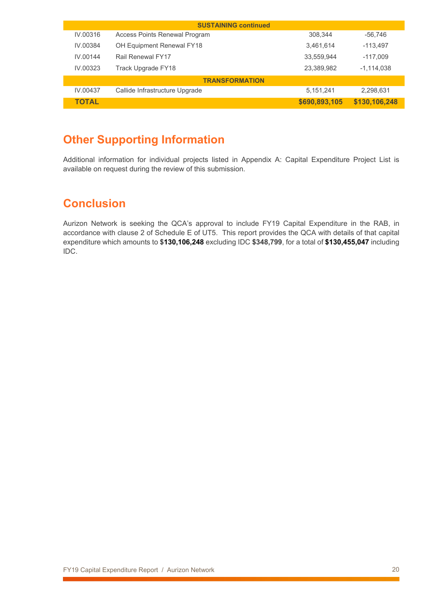| <b>SUSTAINING continued</b> |                                |               |               |  |  |  |  |
|-----------------------------|--------------------------------|---------------|---------------|--|--|--|--|
| IV.00316                    | Access Points Renewal Program  | 308.344       | -56.746       |  |  |  |  |
| IV 00384                    | OH Equipment Renewal FY18      | 3.461.614     | -113.497      |  |  |  |  |
| IV 00144                    | Rail Renewal FY17              | 33.559.944    | $-117.009$    |  |  |  |  |
| IV 00323                    | Track Upgrade FY18             | 23.389.982    | -1,114,038    |  |  |  |  |
| <b>TRANSFORMATION</b>       |                                |               |               |  |  |  |  |
| IV.00437                    | Callide Infrastructure Upgrade | 5.151.241     | 2.298.631     |  |  |  |  |
| ΤΩΤΑΙ                       |                                | \$690,893,105 | \$130,106,248 |  |  |  |  |

# <span id="page-19-0"></span>**Other Supporting Information**

Additional information for individual projects listed in [Appendix A: Capital Expenditure Project List](#page-20-0) is available on request during the review of this submission.

# <span id="page-19-1"></span>**Conclusion**

Aurizon Network is seeking the QCA's approval to include FY19 Capital Expenditure in the RAB, in accordance with clause 2 of Schedule E of UT5. This report provides the QCA with details of that capital expenditure which amounts to **\$130,106,248** excluding IDC **\$348,799**, for a total of **\$130,455,047** including IDC.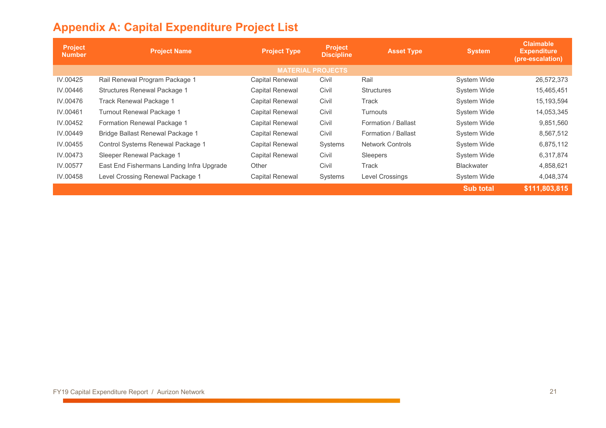# **Appendix A: Capital Expenditure Project List**

<span id="page-20-0"></span>

| Project<br><b>Number</b> | <b>Project Name</b>                       | <b>Project Type</b>    | <b>Project</b><br><b>Discipline</b> | <b>Asset Type</b>       | <b>System</b>      | <b>Claimable</b><br><b>Expenditure</b><br>(pre-escalation) |  |
|--------------------------|-------------------------------------------|------------------------|-------------------------------------|-------------------------|--------------------|------------------------------------------------------------|--|
| <b>MATERIAL PROJECTS</b> |                                           |                        |                                     |                         |                    |                                                            |  |
| IV.00425                 | Rail Renewal Program Package 1            | <b>Capital Renewal</b> | Civil                               | Rail                    | System Wide        | 26,572,373                                                 |  |
| IV.00446                 | <b>Structures Renewal Package 1</b>       | <b>Capital Renewal</b> | Civil                               | <b>Structures</b>       | <b>System Wide</b> | 15,465,451                                                 |  |
| IV.00476                 | <b>Track Renewal Package 1</b>            | <b>Capital Renewal</b> | Civil                               | Track                   | <b>System Wide</b> | 15, 193, 594                                               |  |
| IV.00461                 | Turnout Renewal Package 1                 | <b>Capital Renewal</b> | Civil                               | Turnouts                | <b>System Wide</b> | 14,053,345                                                 |  |
| IV.00452                 | Formation Renewal Package 1               | <b>Capital Renewal</b> | Civil                               | Formation / Ballast     | <b>System Wide</b> | 9,851,560                                                  |  |
| IV.00449                 | Bridge Ballast Renewal Package 1          | <b>Capital Renewal</b> | Civil                               | Formation / Ballast     | <b>System Wide</b> | 8,567,512                                                  |  |
| IV.00455                 | Control Systems Renewal Package 1         | Capital Renewal        | Systems                             | <b>Network Controls</b> | <b>System Wide</b> | 6,875,112                                                  |  |
| IV.00473                 | Sleeper Renewal Package 1                 | <b>Capital Renewal</b> | Civil                               | Sleepers                | <b>System Wide</b> | 6,317,874                                                  |  |
| IV.00577                 | East End Fishermans Landing Infra Upgrade | Other                  | Civil                               | Track                   | <b>Blackwater</b>  | 4,858,621                                                  |  |
| IV.00458                 | Level Crossing Renewal Package 1          | <b>Capital Renewal</b> | Systems                             | Level Crossings         | <b>System Wide</b> | 4,048,374                                                  |  |
|                          |                                           |                        |                                     |                         | <b>Sub total</b>   | \$111,803,815                                              |  |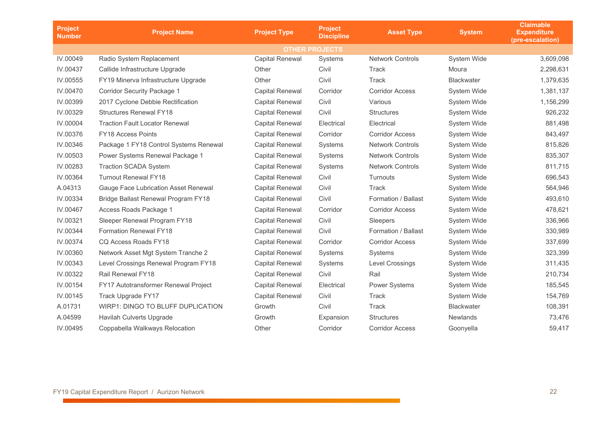| <b>Project</b><br><b>Number</b> | <b>Project Name</b>                    | <b>Project Type</b>    | <b>Project</b><br><b>Discipline</b> | <b>Asset Type</b>       | <b>System</b>      | <b>Claimable</b><br><b>Expenditure</b><br>(pre-escalation) |  |
|---------------------------------|----------------------------------------|------------------------|-------------------------------------|-------------------------|--------------------|------------------------------------------------------------|--|
| <b>OTHER PROJECTS</b>           |                                        |                        |                                     |                         |                    |                                                            |  |
| IV.00049                        | Radio System Replacement               | <b>Capital Renewal</b> | Systems                             | <b>Network Controls</b> | System Wide        | 3,609,098                                                  |  |
| IV.00437                        | Callide Infrastructure Upgrade         | Other                  | Civil                               | Track                   | Moura              | 2,298,631                                                  |  |
| IV.00555                        | FY19 Minerva Infrastructure Upgrade    | Other                  | Civil                               | <b>Track</b>            | <b>Blackwater</b>  | 1,379,635                                                  |  |
| IV.00470                        | <b>Corridor Security Package 1</b>     | <b>Capital Renewal</b> | Corridor                            | <b>Corridor Access</b>  | <b>System Wide</b> | 1,381,137                                                  |  |
| IV.00399                        | 2017 Cyclone Debbie Rectification      | <b>Capital Renewal</b> | Civil                               | Various                 | System Wide        | 1,156,299                                                  |  |
| IV.00329                        | <b>Structures Renewal FY18</b>         | <b>Capital Renewal</b> | Civil                               | <b>Structures</b>       | System Wide        | 926,232                                                    |  |
| IV.00004                        | <b>Traction Fault Locator Renewal</b>  | <b>Capital Renewal</b> | Electrical                          | Electrical              | System Wide        | 881,498                                                    |  |
| IV.00376                        | <b>FY18 Access Points</b>              | <b>Capital Renewal</b> | Corridor                            | <b>Corridor Access</b>  | System Wide        | 843,497                                                    |  |
| IV.00346                        | Package 1 FY18 Control Systems Renewal | <b>Capital Renewal</b> | Systems                             | <b>Network Controls</b> | System Wide        | 815,826                                                    |  |
| IV.00503                        | Power Systems Renewal Package 1        | <b>Capital Renewal</b> | Systems                             | <b>Network Controls</b> | <b>System Wide</b> | 835,307                                                    |  |
| IV.00283                        | <b>Traction SCADA System</b>           | <b>Capital Renewal</b> | Systems                             | <b>Network Controls</b> | System Wide        | 811,715                                                    |  |
| IV.00364                        | <b>Turnout Renewal FY18</b>            | <b>Capital Renewal</b> | Civil                               | Turnouts                | System Wide        | 696,543                                                    |  |
| A.04313                         | Gauge Face Lubrication Asset Renewal   | <b>Capital Renewal</b> | Civil                               | <b>Track</b>            | <b>System Wide</b> | 564,946                                                    |  |
| IV.00334                        | Bridge Ballast Renewal Program FY18    | <b>Capital Renewal</b> | Civil                               | Formation / Ballast     | <b>System Wide</b> | 493,610                                                    |  |
| IV.00467                        | Access Roads Package 1                 | <b>Capital Renewal</b> | Corridor                            | <b>Corridor Access</b>  | System Wide        | 478,621                                                    |  |
| IV.00321                        | Sleeper Renewal Program FY18           | <b>Capital Renewal</b> | Civil                               | Sleepers                | System Wide        | 336,966                                                    |  |
| IV.00344                        | <b>Formation Renewal FY18</b>          | <b>Capital Renewal</b> | Civil                               | Formation / Ballast     | System Wide        | 330,989                                                    |  |
| IV.00374                        | CQ Access Roads FY18                   | <b>Capital Renewal</b> | Corridor                            | <b>Corridor Access</b>  | System Wide        | 337,699                                                    |  |
| IV.00360                        | Network Asset Mgt System Tranche 2     | <b>Capital Renewal</b> | Systems                             | Systems                 | System Wide        | 323,399                                                    |  |
| IV.00343                        | Level Crossings Renewal Program FY18   | <b>Capital Renewal</b> | Systems                             | Level Crossings         | System Wide        | 311,435                                                    |  |
| IV.00322                        | Rail Renewal FY18                      | <b>Capital Renewal</b> | Civil                               | Rail                    | System Wide        | 210,734                                                    |  |
| IV.00154                        | FY17 Autotransformer Renewal Project   | <b>Capital Renewal</b> | Electrical                          | Power Systems           | System Wide        | 185,545                                                    |  |
| IV.00145                        | Track Upgrade FY17                     | <b>Capital Renewal</b> | Civil                               | Track                   | System Wide        | 154,769                                                    |  |
| A.01731                         | WIRP1: DINGO TO BLUFF DUPLICATION      | Growth                 | Civil                               | Track                   | <b>Blackwater</b>  | 108,391                                                    |  |
| A.04599                         | Havilah Culverts Upgrade               | Growth                 | Expansion                           | <b>Structures</b>       | <b>Newlands</b>    | 73,476                                                     |  |
| IV.00495                        | Coppabella Walkways Relocation         | Other                  | Corridor                            | <b>Corridor Access</b>  | Goonyella          | 59,417                                                     |  |